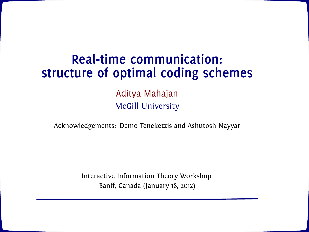# **Real-time communication: structure of optimal coding schemes**

Aditya Mahajan McGill University

Acknowledgements: Demo Teneketzis and Ashutosh Nayyar

Interactive Information Theory Workshop, Banff, Canada (January 18, 2012)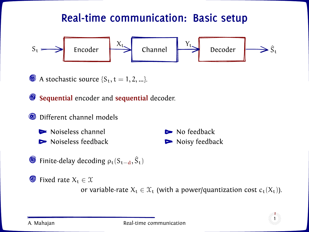### **Real-time communication: Basic setup**



 $\bullet$  A stochastic source  $\{S_t, t = 1, 2, ...\}$ .

**Sequential** encoder and **sequential** decoder.

```
O Different channel models
```


Finite-delay decoding  $\rho_t(S_{t-d}, \hat{S}_t)$ 

 $\bullet$  Fixed rate  $X_t \in \mathcal{X}$ 

or variable-rate  $X_t \in \mathcal{X}_t$  (with a power/quantization cost  $c_t(X_t)$ ).

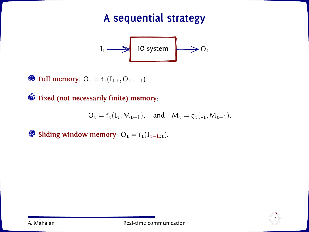# **A sequential strategy**



**§** Full memory:  $O_t = f_t(I_{1:t}, O_{1:t-1})$ .

**Fixed (not necessarily finite) memory**:

$$
O_t = f_t(I_t, M_{t-1}), \quad \text{and} \quad M_t = g_t(I_t, M_{t-1}).
$$

**Sliding window memory:**  $O_t = f_t(I_{t-k:t})$ .

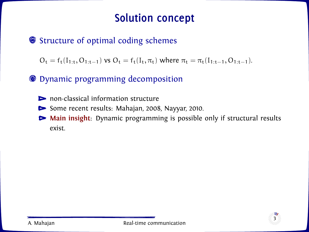### **Solution concept**

**■** Structure of optimal coding schemes

 $O_t = f_t(I_{1:t}, O_{1:t-1})$  vs  $O_t = f_t(I_t, \pi_t)$  where  $\pi_t = \pi_t(I_{1:t-1}, O_{1:t-1})$ .

Dynamic programming decomposition

- non-classical information structure
- Some recent results: Mahajan, 2008, Nayyar, 2010.
- **Main insight**: Dynamic programming is possible only if structural results exist.

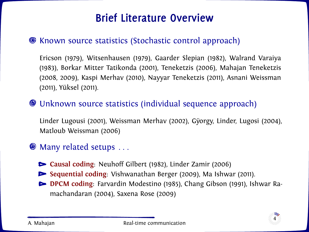### **Brief Literature Overview**

#### Known source statistics (Stochastic control approach)

Ericson (1979), Witsenhausen (1979), Gaarder Slepian (1982), Walrand Varaiya (1983), Borkar Mitter Tatikonda (2001), Teneketzis (2006), Mahajan Teneketzis (2008, 2009), Kaspi Merhav (2010), Nayyar Teneketzis (2011), Asnani Weissman (2011), Yüksel (2011).

#### Unknown source statistics (individual sequence approach)

Linder Lugousi (2001), Weissman Merhav (2002), Gÿorgy, Linder, Lugosi (2004), Matloub Weissman (2006)

#### $\bullet$  Many related setups  $\dots$

- **Causal coding**: Neuhoff Gilbert (1982), Linder Zamir (2006)
- **Sequential coding**: Vishwanathan Berger (2009), Ma Ishwar (2011).
- **DPCM coding**: Farvardin Modestino (1985), Chang Gibson (1991), Ishwar Ramachandaran (2004), Saxena Rose (2009)

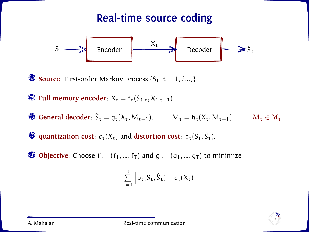### **Real-time source coding**



**Source**: First-order Markov process  $\{S_t, t = 1, 2, \ldots\}$ .

 $\bullet$  **Full memory encoder:**  $X_t = f_t(S_{1:t}, X_{1:t-1})$ 

**General decoder**:  $\hat{S}_t = g_t(X_t, M_{t-1}), \qquad M_t = h_t(X_t, M_{t-1}), \qquad M_t \in \mathcal{M}_t$ 

**quantization cost**:  $c_t(X_t)$  and **distortion cost**:  $\rho_t(S_t, \hat{S}_t)$ .

**① Objective**: Choose  $f := (f_1, ..., f_T)$  and  $g := (g_1, ..., g_T)$  to minimize

$$
\sum_{t=1}^T \left[\rho_t(S_t, \widehat{S}_t) + c_t(X_t)\right]
$$

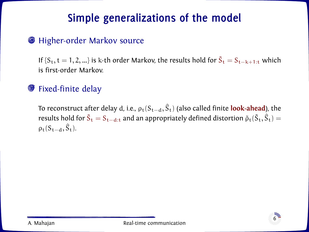# **Simple generalizations of the model**

#### **S** Higher-order Markov source

If  ${S_t, t = 1, 2, ...}$  is k-th order Markov, the results hold for  $\tilde{S_t} = S_{t-k+1:t}$  which is first-order Markov.

#### **S** Fixed-finite delay

To reconstruct after delay d, i.e., ρ<sub>t</sub>(S<sub>t−d</sub>, Ŝ<sub>t</sub>) (also called finite **look-ahead**), the results hold for  $\tilde{S}_t = S_{t-d:t}$  and an appropriately defined distortion  $\tilde{\rho}_t(\tilde{S}_t,\hat{S}_t) =$  $\rho_t(S_{t-d}, \hat{S}_t)$ .

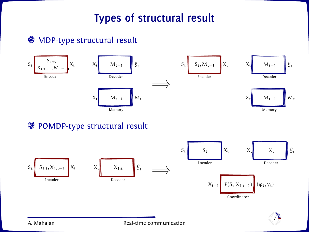### **Types of structural result**

#### **<sup>6</sup>** MDP-type structural result



#### POMDP-type structural result



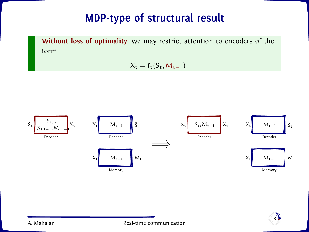### **MDP-type of structural result**

**Without loss of optimality**, we may restrict attention to encoders of the form

 $X_t = f_t(S_t, M_{t-1})$ 



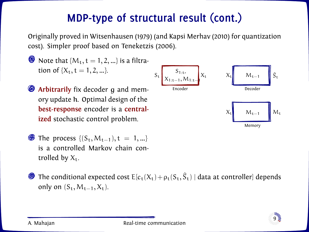Originally proved in Witsenhausen (1979) (and Kapsi Merhav (2010) for quantization cost). Simpler proof based on Teneketzis (2006).

- $\bullet$  Note that { $M_t$ , t = 1, 2, ...} is a filtration of  $\{X_t, t = 1, 2, ...\}$ .
- $\bullet$  **Arbitrarily** fix decoder q and memory update h. Optimal design of the **best-response** encoder is a **centralized** stochastic control problem.
- **■** The process  $\{(S_t, M_{t-1}), t = 1, ...\}$ is a controlled Markov chain controlled by  $X_t$ .



The conditional expected cost  $\mathsf{E}[c_\mathsf{t}(\mathsf{X}_\mathsf{t})+\rho_\mathsf{t}(\mathsf{S}_\mathsf{t},\hat{\mathsf{S}}_\mathsf{t})$  | data at controller] depends only on  $(S_t, M_{t-1}, X_t)$ .

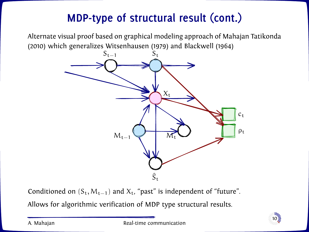Alternate visual proof based on graphical modeling approach of Mahajan Tatikonda (2010) which generalizes Witsenhausen (1979) and Blackwell (1964)



Conditioned on  $(S_t, M_{t-1})$  and  $X_t$ , "past" is independent of "future".

Allows for algorithmic verification of MDP type structural results.

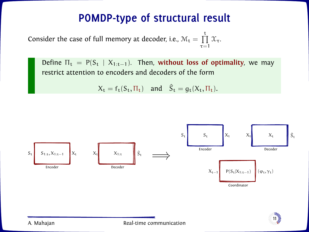### **POMDP-type of structural result**

Consider the case of full memory at decoder, i.e.,  $\mathcal{M}_t = \prod^t \mathcal{X}_\tau$ .  $\tau=1$ 

Define  $\Pi_t = P(S_t | X_{1:t-1})$ . Then, without loss of optimality, we may restrict attention to encoders and decoders of the form

$$
X_t = f_t(S_t, \Pi_t) \quad \text{and} \quad \hat{S}_t = g_t(X_t, \Pi_t).
$$



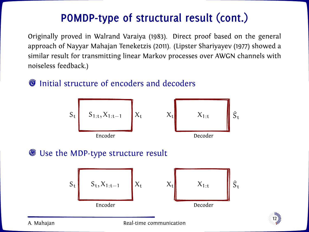Originally proved in Walrand Varaiya (1983). Direct proof based on the general approach of Nayyar Mahajan Teneketzis (2011). (Lipster Shariyayev (1977) showed a similar result for transmitting linear Markov processes over AWGN channels with noiseless feedback.)

# $S_t$   $S_{1:t}$ ,  $X_{1:t-1}$   $X_t$   $X_t$   $X_{1:t}$ t Encoder Decoder

### $\odot$  Initial structure of encoders and decoders

#### Use the MDP-type structure result





A. Mahajan Real-time communication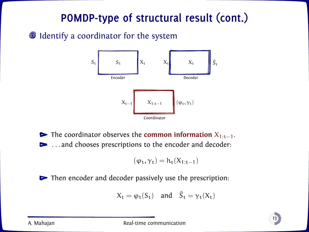#### **O** Identify a coordinator for the system



**►** The coordinator observes the **common information**  $X_{1:t-1}$ . **EXECUTE:** ... and chooses prescriptions to the encoder and decoder:

$$
(\phi_t,\gamma_t)=h_t(X_{1:t-1})
$$

 $\triangleright$  Then encoder and decoder passively use the prescription:

$$
X_t = \varphi_t(S_t) \quad \text{and} \quad \hat{S}_t = \gamma_t(X_t)
$$

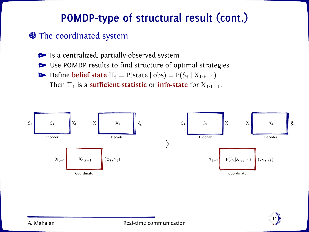#### **• The coordinated system**

Is a centralized, partially-observed system.

Use POMDP results to find structure of optimal strategies.

Define **belief state**  $\Pi_t = P(\text{state} | \text{obs}) = P(S_t | X_{1:t-1}).$ 

Then  $\Pi_t$  is a **sufficient statistic** or **info-state** for  $X_{1:t-1}$ .



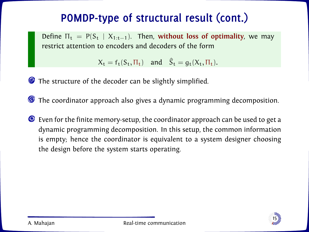Define  $\Pi_t = P(S_t | X_{1:t-1})$ . Then, without loss of optimality, we may restrict attention to encoders and decoders of the form

 $X_t = f_t(S_t, \Pi_t)$  and  $\hat{S}_t = g_t(X_t, \Pi_t)$ .

The structure of the decoder can be slightly simplified.

The coordinator approach also gives a dynamic programming decomposition.

Even for the finite memory-setup, the coordinator approach can be used to get a dynamic programming decomposition. In this setup, the common information is empty; hence the coordinator is equivalent to a system designer choosing the design before the system starts operating.

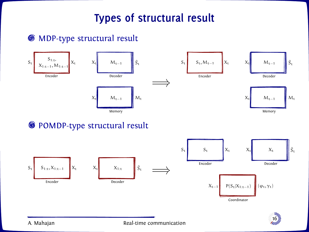### **Types of structural result**

#### MDP-type structural result



#### <sup>O</sup> POMDP-type structural result



A. Mahajan Real-time communication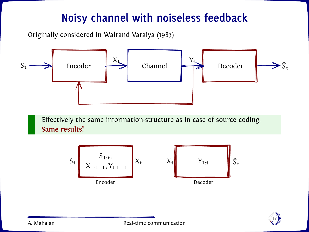### **Noisy channel with noiseless feedback**

Originally considered in Walrand Varaiya (1983)



Effectively the same information-structure as in case of source coding. **Same results!**



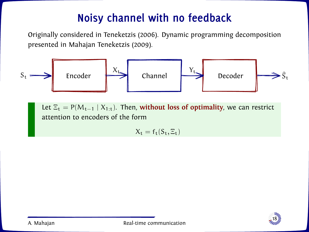# **Noisy channel with no feedback**

Originally considered in Teneketzis (2006). Dynamic programming decomposition presented in Mahajan Teneketzis (2009).



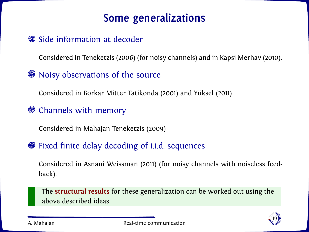### **Some generalizations**

#### **Side information at decoder**

Considered in Teneketzis (2006) (for noisy channels) and in Kapsi Merhav (2010).

#### Noisy observations of the source

Considered in Borkar Mitter Tatikonda (2001) and Yüksel (2011)

#### Channels with memory

Considered in Mahajan Teneketzis (2009)

#### Fixed finite delay decoding of i.i.d. sequences

Considered in Asnani Weissman (2011) (for noisy channels with noiseless feedback).

The **structural results** for these generalization can be worked out using the above described ideas.

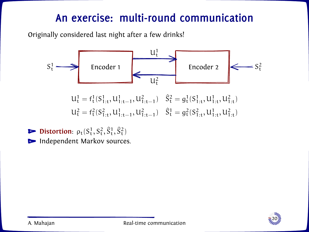Originally considered last night after a few drinks!



**Distortion**:  $\rho_t(S_t^1, S_t^2, \hat{S}_t^1, \hat{S}_t^2)$ Independent Markov sources.

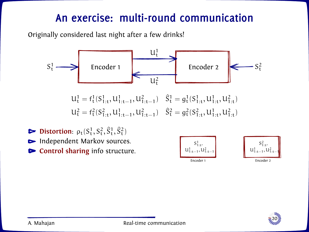Originally considered last night after a few drinks!



**Distortion**:  $\rho_t(S_t^1, S_t^2, \hat{S}_t^1, \hat{S}_t^2)$ Independent Markov sources. **Control sharing** info structure.





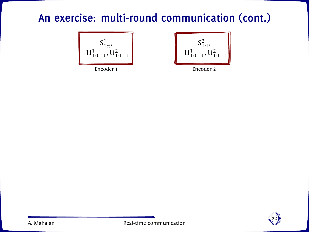$$
\begin{bmatrix} S^1_{1:t'} \\ u^1_{1:t-1}, u^2_{1:t-1} \end{bmatrix}
$$



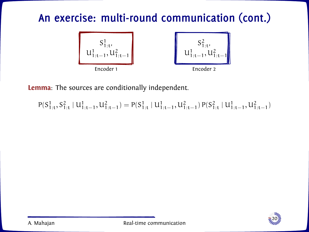

**Lemma**: The sources are conditionally independent.

 $P(S_{1:t}^1, S_{1:t}^2 | U_{1:t-1}^1, U_{1:t-1}^2) = P(S_{1:t}^1 | U_{1:t-1}^1, U_{1:t-1}^2) P(S_{1:t}^2 | U_{1:t-1}^1, U_{1:t-1}^2)$ 

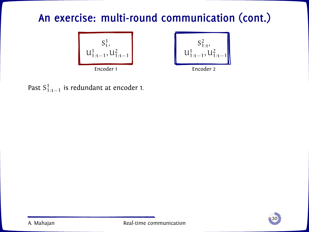



Past  $S^1_{1:t-1}$  is redundant at encoder 1.

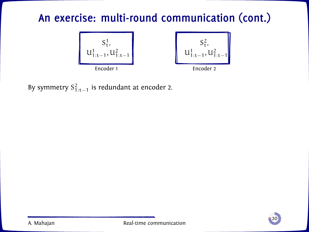

By symmetry  $S^2_{1:t-1}$  is redundant at encoder 2.

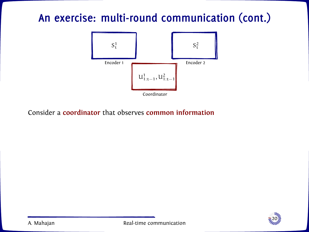

Consider a **coordinator** that observes **common information**

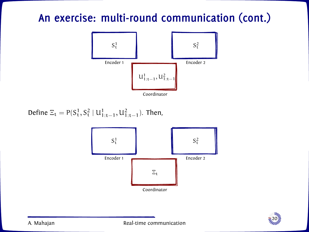

Define  $\Xi_t = P(S_t^1, S_t^2 | U_{1:t-1}^1, U_{1:t-1}^2)$ . Then,



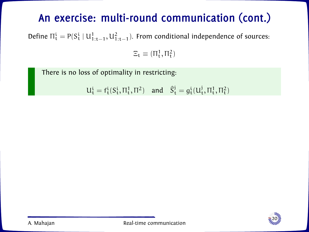Define  $\Pi_t^i = P(S_t^i \mid U_{1:t-1}^1, U_{1:t-1}^2)$ . From conditional independence of sources:

 $\Xi_t \equiv (\Pi_t^1, \Pi_t^2)$ 

There is no loss of optimality in restricting:

 $U_t^i = f_t^i(S_t^i, \Pi_t^1, \Pi^2)$  and  $\hat{S}_t^j = g_t^i(U_t^j, \Pi_t^1, \Pi_t^2)$ 

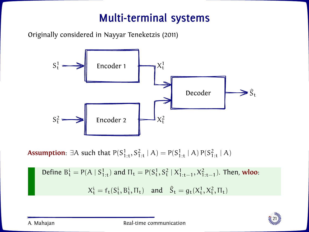### **Multi-terminal systems**

Originally considered in Nayyar Teneketzis (2011)



**Assumption**: ∃A such that  $P(S_{1:t}^1, S_{1:t}^2 | A) = P(S_{1:t}^1 | A) P(S_{1:t}^2 | A)$ 

Define 
$$
B_t^i = P(A | S_{1:t}^1)
$$
 and  $\Pi_t = P(S_t^1, S_t^2 | X_{1:t-1}^1, X_{1:t-1}^2)$ . Then, **wloo**:  

$$
X_t^i = f_t(S_t^i, B_t^i, \Pi_t) \text{ and } \hat{S}_t = g_t(X_t^1, X_t^2, \Pi_t)
$$

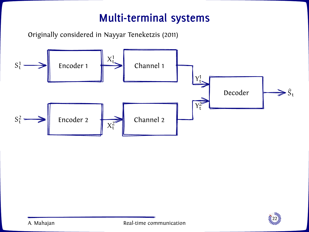### **Multi-terminal systems**

Originally considered in Nayyar Teneketzis (2011)



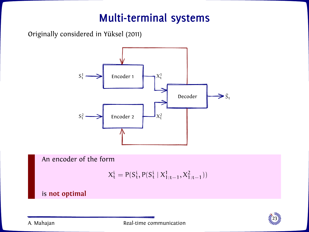### **Multi-terminal systems**

Originally considered in Yüksel (2011)



An encoder of the form

$$
X_t^i = P(S_t^i, P(S_t^i \mid X_{1:t-1}^1, X_{1:t-1}^2))
$$

is **not optimal**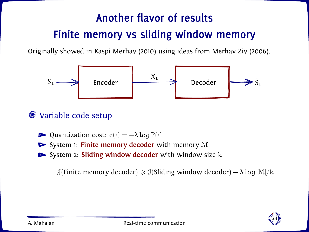# **Another flavor of results Finite memory vs sliding window memory**

Originally showed in Kaspi Merhav (2010) using ideas from Merhav Ziv (2006).



#### **Wariable code setup**

- Quantization cost:  $c(\cdot) = -\lambda \log P(\cdot)$
- ► System 1: **Finite memory decoder** with memory M
- System 2: **Sliding window decoder** with window size k

 $\mathcal{J}$ (Finite memory decoder)  $\geq \mathcal{J}$ (Sliding window decoder) –  $\lambda \log |\mathcal{M}|/k$